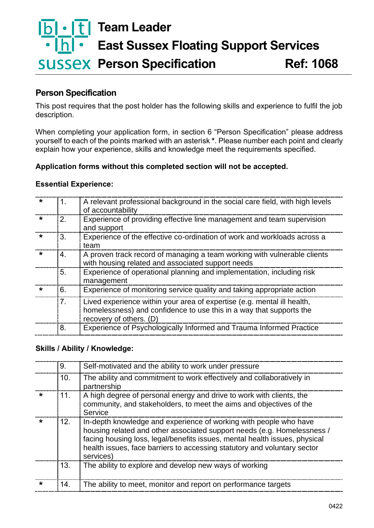# **Team Leader** <u>Ibl</u> **East Sussex Floating Support Services SUSSEX Person Specification 6.1068**

## **Person Specification**

This post requires that the post holder has the following skills and experience to fulfil the job description.

When completing your application form, in section 6 "Person Specification" please address yourself to each of the points marked with an asterisk **\***. Please number each point and clearly explain how your experience, skills and knowledge meet the requirements specified.

#### **Application forms without this completed section will not be accepted.**

#### **Essential Experience:**

| *       | 1. | A relevant professional background in the social care field, with high levels<br>of accountability                                                                        |
|---------|----|---------------------------------------------------------------------------------------------------------------------------------------------------------------------------|
| $\star$ | 2. | Experience of providing effective line management and team supervision<br>and support                                                                                     |
| $\star$ | 3. | Experience of the effective co-ordination of work and workloads across a<br>team                                                                                          |
| *       | 4. | A proven track record of managing a team working with vulnerable clients<br>with housing related and associated support needs                                             |
|         | 5. | Experience of operational planning and implementation, including risk<br>management                                                                                       |
| $\star$ | 6. | Experience of monitoring service quality and taking appropriate action                                                                                                    |
|         | 7. | Lived experience within your area of expertise (e.g. mental ill health,<br>homelessness) and confidence to use this in a way that supports the<br>recovery of others. (D) |
|         | 8. | Experience of Psychologically Informed and Trauma Informed Practice                                                                                                       |

#### **Skills / Ability / Knowledge:**

|         | 9.  | Self-motivated and the ability to work under pressure                                                                                                                                                                                                                                                               |
|---------|-----|---------------------------------------------------------------------------------------------------------------------------------------------------------------------------------------------------------------------------------------------------------------------------------------------------------------------|
|         | 10. | The ability and commitment to work effectively and collaboratively in<br>partnership                                                                                                                                                                                                                                |
| $\star$ | 11. | A high degree of personal energy and drive to work with clients, the<br>community, and stakeholders, to meet the aims and objectives of the<br>Service                                                                                                                                                              |
| $\star$ | 12. | In-depth knowledge and experience of working with people who have<br>housing related and other associated support needs (e.g. Homelessness /<br>facing housing loss, legal/benefits issues, mental health issues, physical<br>health issues, face barriers to accessing statutory and voluntary sector<br>services) |
|         | 13. | The ability to explore and develop new ways of working                                                                                                                                                                                                                                                              |
| $\star$ | 14. | The ability to meet, monitor and report on performance targets                                                                                                                                                                                                                                                      |